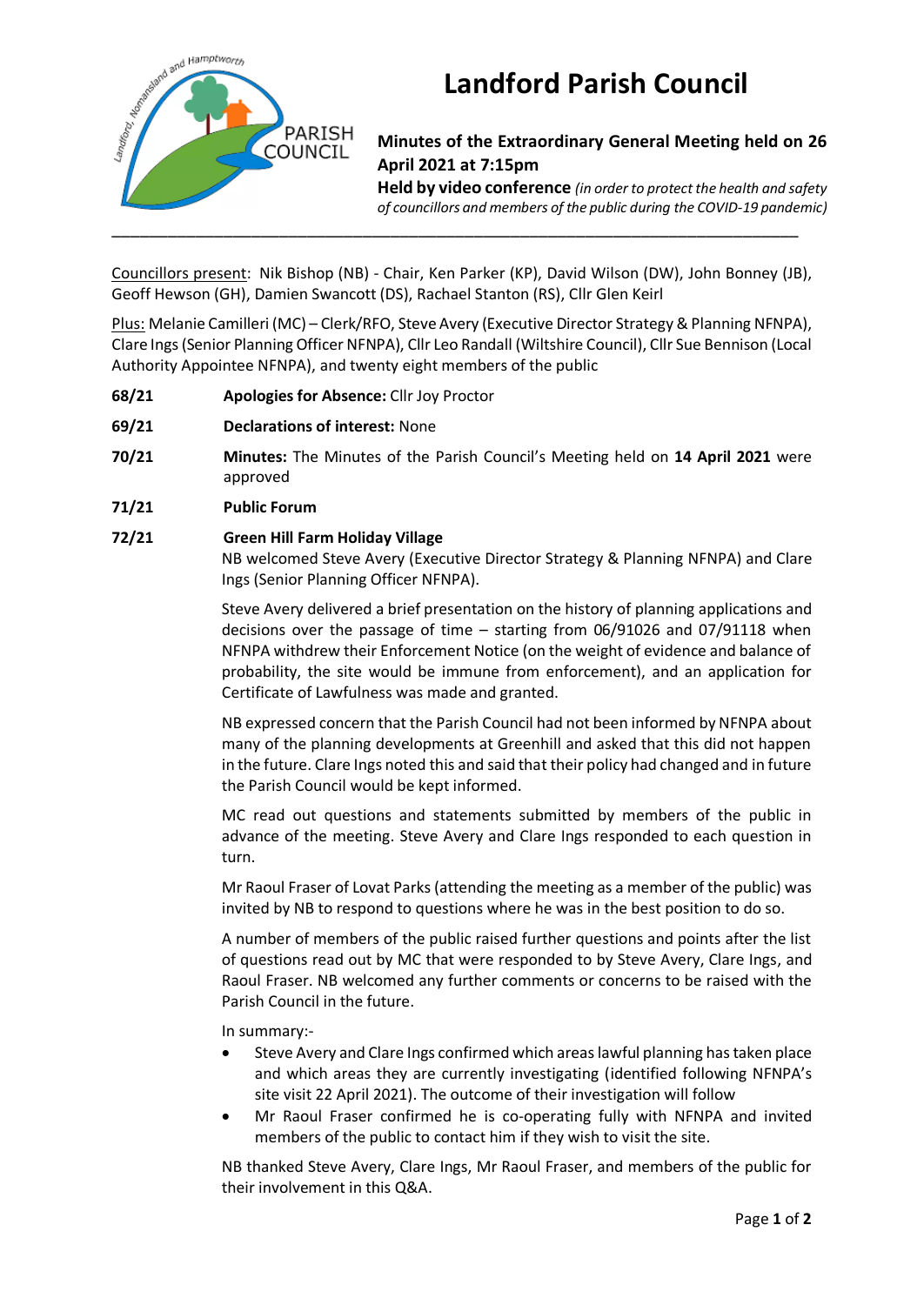

# **Landford Parish Council**

## **Minutes of the Extraordinary General Meeting held on 26 April 2021 at 7:15pm**

**Held by video conference** *(in order to protect the health and safety of councillors and members of the public during the COVID-19 pandemic)* 

Councillors present: Nik Bishop (NB) - Chair, Ken Parker (KP), David Wilson (DW), John Bonney (JB), Geoff Hewson (GH), Damien Swancott (DS), Rachael Stanton (RS), Cllr Glen Keirl

Plus: Melanie Camilleri (MC) – Clerk/RFO, Steve Avery (Executive Director Strategy & Planning NFNPA), Clare Ings (Senior Planning Officer NFNPA), Cllr Leo Randall (Wiltshire Council), Cllr Sue Bennison (Local Authority Appointee NFNPA), and twenty eight members of the public

- **68/21 Apologies for Absence:** Cllr Joy Proctor
- **69/21 Declarations of interest:** None
- **70/21 Minutes:** The Minutes of the Parish Council's Meeting held on **14 April 2021** were approved
- **71/21 Public Forum**

## **72/21 Green Hill Farm Holiday Village**

NB welcomed Steve Avery (Executive Director Strategy & Planning NFNPA) and Clare Ings (Senior Planning Officer NFNPA).

Steve Avery delivered a brief presentation on the history of planning applications and decisions over the passage of time – starting from 06/91026 and 07/91118 when NFNPA withdrew their Enforcement Notice (on the weight of evidence and balance of probability, the site would be immune from enforcement), and an application for Certificate of Lawfulness was made and granted.

NB expressed concern that the Parish Council had not been informed by NFNPA about many of the planning developments at Greenhill and asked that this did not happen in the future. Clare Ings noted this and said that their policy had changed and in future the Parish Council would be kept informed.

MC read out questions and statements submitted by members of the public in advance of the meeting. Steve Avery and Clare Ings responded to each question in turn.

Mr Raoul Fraser of Lovat Parks (attending the meeting as a member of the public) was invited by NB to respond to questions where he was in the best position to do so.

A number of members of the public raised further questions and points after the list of questions read out by MC that were responded to by Steve Avery, Clare Ings, and Raoul Fraser. NB welcomed any further comments or concerns to be raised with the Parish Council in the future.

In summary:-

- Steve Avery and Clare Ings confirmed which areas lawful planning has taken place and which areas they are currently investigating (identified following NFNPA's site visit 22 April 2021). The outcome of their investigation will follow
- Mr Raoul Fraser confirmed he is co-operating fully with NFNPA and invited members of the public to contact him if they wish to visit the site.

NB thanked Steve Avery, Clare Ings, Mr Raoul Fraser, and members of the public for their involvement in this Q&A.